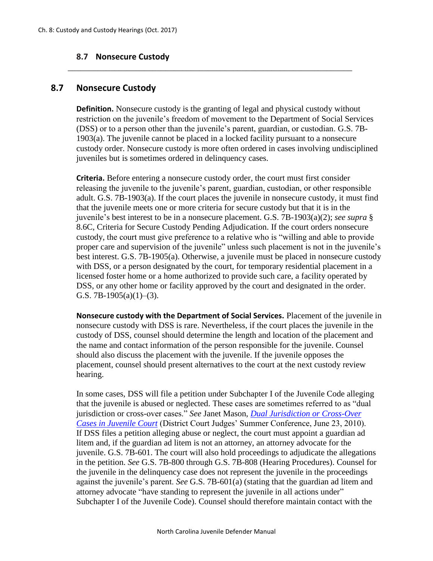## **8.7 Nonsecure Custody**

## **8.7 Nonsecure Custody**

**Definition.** Nonsecure custody is the granting of legal and physical custody without restriction on the juvenile's freedom of movement to the Department of Social Services (DSS) or to a person other than the juvenile's parent, guardian, or custodian. G.S. 7B-1903(a). The juvenile cannot be placed in a locked facility pursuant to a nonsecure custody order. Nonsecure custody is more often ordered in cases involving undisciplined juveniles but is sometimes ordered in delinquency cases.

\_\_\_\_\_\_\_\_\_\_\_\_\_\_\_\_\_\_\_\_\_\_\_\_\_\_\_\_\_\_\_\_\_\_\_\_\_\_\_\_\_\_\_\_\_\_\_\_\_\_\_\_\_\_\_\_\_\_\_\_\_\_\_\_\_\_\_

**Criteria.** Before entering a nonsecure custody order, the court must first consider releasing the juvenile to the juvenile's parent, guardian, custodian, or other responsible adult. G.S. 7B-1903(a). If the court places the juvenile in nonsecure custody, it must find that the juvenile meets one or more criteria for secure custody but that it is in the juvenile's best interest to be in a nonsecure placement. G.S. 7B-1903(a)(2); *see supra* § 8.6C, Criteria for Secure Custody Pending Adjudication. If the court orders nonsecure custody, the court must give preference to a relative who is "willing and able to provide proper care and supervision of the juvenile" unless such placement is not in the juvenile's best interest. G.S. 7B-1905(a). Otherwise, a juvenile must be placed in nonsecure custody with DSS, or a person designated by the court, for temporary residential placement in a licensed foster home or a home authorized to provide such care, a facility operated by DSS, or any other home or facility approved by the court and designated in the order. G.S. 7B-1905(a)(1)–(3).

**Nonsecure custody with the Department of Social Services.** Placement of the juvenile in nonsecure custody with DSS is rare. Nevertheless, if the court places the juvenile in the custody of DSS, counsel should determine the length and location of the placement and the name and contact information of the person responsible for the juvenile. Counsel should also discuss the placement with the juvenile. If the juvenile opposes the placement, counsel should present alternatives to the court at the next custody review hearing.

In some cases, DSS will file a petition under Subchapter I of the Juvenile Code alleging that the juvenile is abused or neglected. These cases are sometimes referred to as "dual jurisdiction or cross-over cases." *See* Janet Mason, *[Dual Jurisdiction or Cross-Over](http://www.sog.unc.edu/sites/www.sog.unc.edu/files/course_materials/Maso_%20DualJurisdictionHndout_0.pdf)  [Cases in Juvenile Court](http://www.sog.unc.edu/sites/www.sog.unc.edu/files/course_materials/Maso_%20DualJurisdictionHndout_0.pdf)* (District Court Judges' Summer Conference, June 23, 2010). If DSS files a petition alleging abuse or neglect, the court must appoint a guardian ad litem and, if the guardian ad litem is not an attorney, an attorney advocate for the juvenile. G.S. 7B-601. The court will also hold proceedings to adjudicate the allegations in the petition. *See* G.S. 7B-800 through G.S. 7B-808 (Hearing Procedures). Counsel for the juvenile in the delinquency case does not represent the juvenile in the proceedings against the juvenile's parent. *See* G.S. 7B-601(a) (stating that the guardian ad litem and attorney advocate "have standing to represent the juvenile in all actions under" Subchapter I of the Juvenile Code). Counsel should therefore maintain contact with the